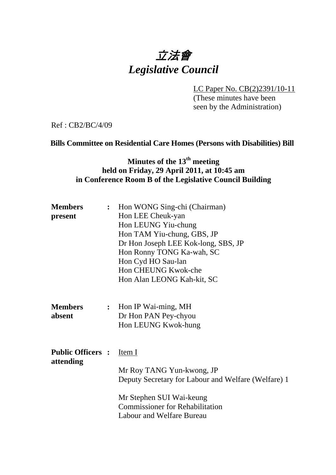# 立法會 *Legislative Council*

LC Paper No. CB(2)2391/10-11

(These minutes have been seen by the Administration)

Ref : CB2/BC/4/09

### **Bills Committee on Residential Care Homes (Persons with Disabilities) Bill**

## **Minutes of the 13th meeting held on Friday, 29 April 2011, at 10:45 am in Conference Room B of the Legislative Council Building**

| <b>Members</b><br>present             | : Hon WONG Sing-chi (Chairman)<br>Hon LEE Cheuk-yan<br>Hon LEUNG Yiu-chung<br>Hon TAM Yiu-chung, GBS, JP<br>Dr Hon Joseph LEE Kok-long, SBS, JP<br>Hon Ronny TONG Ka-wah, SC<br>Hon Cyd HO Sau-lan<br>Hon CHEUNG Kwok-che<br>Hon Alan LEONG Kah-kit, SC |
|---------------------------------------|---------------------------------------------------------------------------------------------------------------------------------------------------------------------------------------------------------------------------------------------------------|
| <b>Members</b><br>absent              | : Hon IP Wai-ming, MH<br>Dr Hon PAN Pey-chyou<br>Hon LEUNG Kwok-hung                                                                                                                                                                                    |
| <b>Public Officers :</b><br>attending | Item I<br>Mr Roy TANG Yun-kwong, JP<br>Deputy Secretary for Labour and Welfare (Welfare) 1<br>Mr Stephen SUI Wai-keung<br><b>Commissioner for Rehabilitation</b><br><b>Labour and Welfare Bureau</b>                                                    |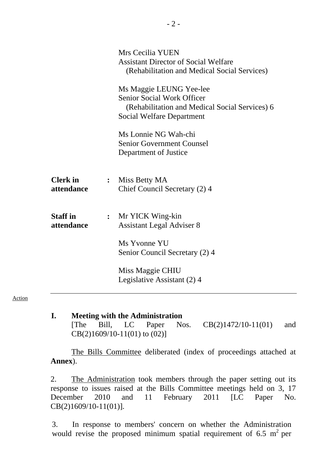|                               | Mrs Cecilia YUEN<br><b>Assistant Director of Social Welfare</b><br>(Rehabilitation and Medical Social Services)                             |
|-------------------------------|---------------------------------------------------------------------------------------------------------------------------------------------|
|                               | Ms Maggie LEUNG Yee-lee<br>Senior Social Work Officer<br>(Rehabilitation and Medical Social Services) 6<br><b>Social Welfare Department</b> |
|                               | Ms Lonnie NG Wah-chi<br><b>Senior Government Counsel</b><br>Department of Justice                                                           |
| <b>Clerk</b> in<br>attendance | : Miss Betty MA<br>Chief Council Secretary (2) 4                                                                                            |
| <b>Staff</b> in<br>attendance | : Mr YICK Wing-kin<br><b>Assistant Legal Adviser 8</b>                                                                                      |
|                               | Ms Yvonne YU<br>Senior Council Secretary (2) 4                                                                                              |
|                               | Miss Maggie CHIU<br>Legislative Assistant (2) 4                                                                                             |

#### Action

**I. Meeting with the Administration**  [The Bill, LC Paper Nos. CB(2)1472/10-11(01) and CB(2)1609/10-11(01) to (02)]

The Bills Committee deliberated (index of proceedings attached at **Annex**).

2. The Administration took members through the paper setting out its response to issues raised at the Bills Committee meetings held on 3, 17 December 2010 and 11 February 2011 [LC Paper No. CB(2)1609/10-11(01)].

3. In response to members' concern on whether the Administration would revise the proposed minimum spatial requirement of 6.5  $m^2$  per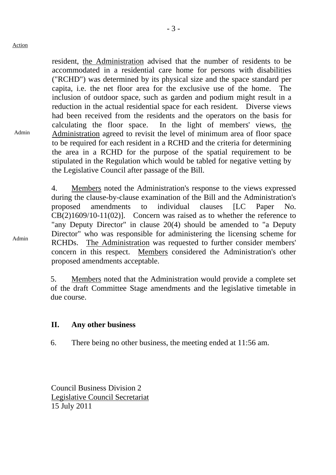Admin

- 3 -

resident, the Administration advised that the number of residents to be accommodated in a residential care home for persons with disabilities ("RCHD") was determined by its physical size and the space standard per capita, i.e. the net floor area for the exclusive use of the home. The inclusion of outdoor space, such as garden and podium might result in a reduction in the actual residential space for each resident. Diverse views had been received from the residents and the operators on the basis for calculating the floor space. In the light of members' views, the Administration agreed to revisit the level of minimum area of floor space to be required for each resident in a RCHD and the criteria for determining the area in a RCHD for the purpose of the spatial requirement to be stipulated in the Regulation which would be tabled for negative vetting by the Legislative Council after passage of the Bill.

4. Members noted the Administration's response to the views expressed during the clause-by-clause examination of the Bill and the Administration's proposed amendments to individual clauses [LC Paper No.  $CB(2)1609/10-11(02)$ . Concern was raised as to whether the reference to "any Deputy Director" in clause 20(4) should be amended to "a Deputy Director" who was responsible for administering the licensing scheme for RCHDs. The Administration was requested to further consider members' concern in this respect. Members considered the Administration's other proposed amendments acceptable.

5. Members noted that the Administration would provide a complete set of the draft Committee Stage amendments and the legislative timetable in due course.

## **II. Any other business**

6. There being no other business, the meeting ended at 11:56 am.

Council Business Division 2 Legislative Council Secretariat 15 July 2011

Admin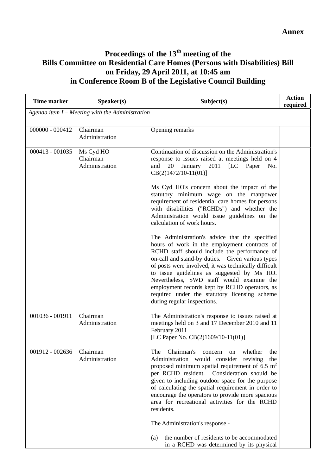## **Proceedings of the 13th meeting of the Bills Committee on Residential Care Homes (Persons with Disabilities) Bill on Friday, 29 April 2011, at 10:45 am in Conference Room B of the Legislative Council Building**

| <b>Time marker</b>                                | Speaker(s)                              | Subject(s)                                                                                                                                                                                                                                                                                                                                                                                                                                                                                                                                                            | <b>Action</b><br>required |  |  |  |
|---------------------------------------------------|-----------------------------------------|-----------------------------------------------------------------------------------------------------------------------------------------------------------------------------------------------------------------------------------------------------------------------------------------------------------------------------------------------------------------------------------------------------------------------------------------------------------------------------------------------------------------------------------------------------------------------|---------------------------|--|--|--|
| Agenda item $I$ – Meeting with the Administration |                                         |                                                                                                                                                                                                                                                                                                                                                                                                                                                                                                                                                                       |                           |  |  |  |
| $000000 - 000412$                                 | Chairman<br>Administration              | Opening remarks                                                                                                                                                                                                                                                                                                                                                                                                                                                                                                                                                       |                           |  |  |  |
| 000413 - 001035                                   | Ms Cyd HO<br>Chairman<br>Administration | Continuation of discussion on the Administration's<br>response to issues raised at meetings held on 4<br>and<br>January<br>2011<br>20<br>[LC Paper<br>No.<br>$CB(2)1472/10-11(01)]$                                                                                                                                                                                                                                                                                                                                                                                   |                           |  |  |  |
|                                                   |                                         | Ms Cyd HO's concern about the impact of the<br>statutory minimum wage on the manpower<br>requirement of residential care homes for persons<br>with disabilities ("RCHDs") and whether the<br>Administration would issue guidelines on the<br>calculation of work hours.                                                                                                                                                                                                                                                                                               |                           |  |  |  |
|                                                   |                                         | The Administration's advice that the specified<br>hours of work in the employment contracts of<br>RCHD staff should include the performance of<br>on-call and stand-by duties. Given various types<br>of posts were involved, it was technically difficult<br>to issue guidelines as suggested by Ms HO.<br>Nevertheless, SWD staff would examine the<br>employment records kept by RCHD operators, as<br>required under the statutory licensing scheme<br>during regular inspections.                                                                                |                           |  |  |  |
| 001036 - 001911                                   | Chairman<br>Administration              | The Administration's response to issues raised at<br>meetings held on 3 and 17 December 2010 and 11<br>February 2011<br>[LC Paper No. CB(2)1609/10-11(01)]                                                                                                                                                                                                                                                                                                                                                                                                            |                           |  |  |  |
| 001912 - 002636                                   | Chairman<br>Administration              | Chairman's concern<br>The<br>whether<br>the<br>on<br>Administration would consider revising<br>the<br>proposed minimum spatial requirement of 6.5 $m2$<br>per RCHD resident. Consideration should be<br>given to including outdoor space for the purpose<br>of calculating the spatial requirement in order to<br>encourage the operators to provide more spacious<br>area for recreational activities for the RCHD<br>residents.<br>The Administration's response -<br>the number of residents to be accommodated<br>(a)<br>in a RCHD was determined by its physical |                           |  |  |  |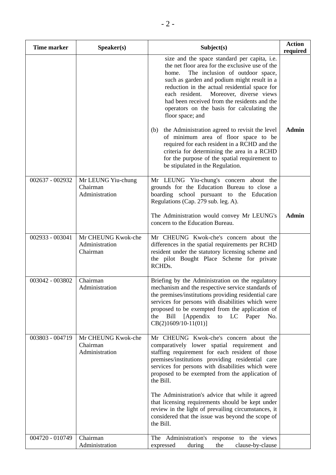| <b>Time marker</b> | Speaker(s)                                       | Subject(s)                                                                                                                                                                                                                                                                                                                                                                                                 | <b>Action</b><br>required |
|--------------------|--------------------------------------------------|------------------------------------------------------------------------------------------------------------------------------------------------------------------------------------------------------------------------------------------------------------------------------------------------------------------------------------------------------------------------------------------------------------|---------------------------|
|                    |                                                  | size and the space standard per capita, i.e.<br>the net floor area for the exclusive use of the<br>The inclusion of outdoor space,<br>home.<br>such as garden and podium might result in a<br>reduction in the actual residential space for<br>each resident.<br>Moreover, diverse views<br>had been received from the residents and the<br>operators on the basis for calculating the<br>floor space; and |                           |
|                    |                                                  | the Administration agreed to revisit the level<br>(b)<br>of minimum area of floor space to be<br>required for each resident in a RCHD and the<br>criteria for determining the area in a RCHD<br>for the purpose of the spatial requirement to<br>be stipulated in the Regulation.                                                                                                                          | <b>Admin</b>              |
| 002637 - 002932    | Mr LEUNG Yiu-chung<br>Chairman<br>Administration | Mr LEUNG Yiu-chung's concern about the<br>grounds for the Education Bureau to close a<br>boarding school pursuant to the Education<br>Regulations (Cap. 279 sub. leg. A).                                                                                                                                                                                                                                  |                           |
|                    |                                                  | The Administration would convey Mr LEUNG's<br>concern to the Education Bureau.                                                                                                                                                                                                                                                                                                                             | <b>Admin</b>              |
| 002933 - 003041    | Mr CHEUNG Kwok-che<br>Administration<br>Chairman | Mr CHEUNG Kwok-che's concern about the<br>differences in the spatial requirements per RCHD<br>resident under the statutory licensing scheme and<br>the pilot Bought Place Scheme for private<br>RCHDs.                                                                                                                                                                                                     |                           |
| 003042 - 003802    | Chairman<br>Administration                       | Briefing by the Administration on the regulatory<br>mechanism and the respective service standards of<br>the premises/institutions providing residential care<br>services for persons with disabilities which were<br>proposed to be exempted from the application of<br>Bill<br>[Appendix]<br>the<br>to LC Paper<br>No.<br>$CB(2)1609/10-11(01)$                                                          |                           |
| 003803 - 004719    | Mr CHEUNG Kwok-che<br>Chairman<br>Administration | Mr CHEUNG Kwok-che's concern about the<br>comparatively lower spatial requirement and<br>staffing requirement for each resident of those<br>premises/institutions providing residential care<br>services for persons with disabilities which were<br>proposed to be exempted from the application of<br>the Bill.                                                                                          |                           |
|                    |                                                  | The Administration's advice that while it agreed<br>that licensing requirements should be kept under<br>review in the light of prevailing circumstances, it<br>considered that the issue was beyond the scope of<br>the Bill.                                                                                                                                                                              |                           |
| 004720 - 010749    | Chairman<br>Administration                       | The Administration's response to the views<br>expressed<br>during<br>the<br>clause-by-clause                                                                                                                                                                                                                                                                                                               |                           |